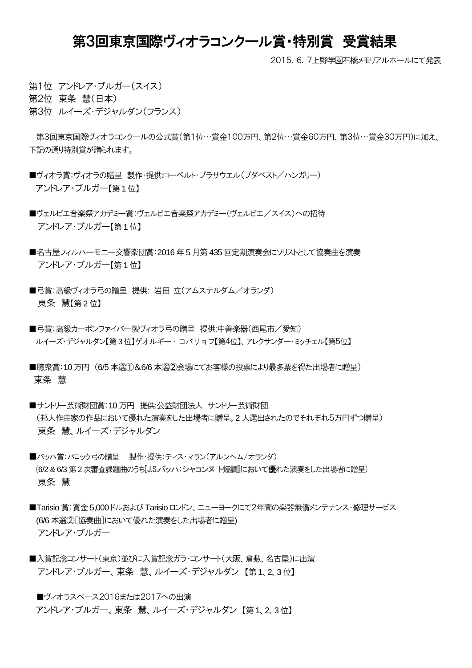## 第3回東京国際ヴィオラコンクール賞・特別賞 受賞結果

2015.6.7上野学園石橋メモリアルホールにて発表

第1位 アンドレア・ブルガー(スイス)

第2位 東条 慧(日本)

第3位 ルイーズ・デジャルダン(フランス)

第3回東京国際ヴィオラコンクールの公式賞(第1位…賞金100万円、第2位…賞金60万円、第3位…賞金30万円)に加え、 下記の通り特別賞が贈られます。

- ■ヴィオラ賞:ヴィオラの贈呈 製作・提供:ローベルト・ブラサウエル(ブダペスト/ハンガリー) アンドレア・ブルガー【第1 位】
- ■ヴェルビエ音楽祭アカデミー賞:ヴェルビエ音楽祭アカデミー(ヴェルビエ/スイス)への招待 アンドレア・ブルガー【第1 位】
- ■名古屋フィルハーモニー交響楽団賞:2016 年5 月第 435 回定期演奏会にソリストとして協奏曲を演奏 アンドレア・ブルガー【第1 位】
- ■弓賞:高級ヴィオラ弓の贈呈 提供: 岩田 立(アムステルダム/オランダ) 東条 慧【第2 位】
- ■弓賞:高級カーボンファイバー製ヴィオラ弓の贈呈 提供:中善楽器(西尾市/愛知) ルイーズ・デジャルダン【第3 位】ゲオルギー・コバリョフ【第4位】、アレクサンダー・ミッチェル【第5位】
- ■聴衆賞:10 万円 (6/5 本選①&6/6 本選②会場にてお客様の投票により最多票を得た出場者に贈呈) 東条 慧
- ■サントリー芸術財団賞:10 万円 提供:公益財団法人 サントリー芸術財団 (邦人作曲家の作品において優れた演奏をした出場者に贈呈。2 人選出されたのでそれぞれ5万円ずつ贈呈) 東条 慧、ルイーズ・デジャルダン
- ■バッハ賞:バロック弓の贈呈 製作・提供:ティス・マラン(アルンヘム/オランダ) (6/2 & 6/3 第2 次審査課題曲のうち[J.S.バッハ:シャコンヌ ト短調]において優れた演奏をした出場者に贈呈) 東条 慧
- ■Tarisio 賞:賞金5,000ドルおよび Tarisio ロンドン、ニューヨークにて2年間の楽器無償メンテナンス・修理サービス (6/6 本選②[協奏曲]において優れた演奏をした出場者に贈呈) アンドレア・ブルガー
- ■入賞記念コンサート(東京)並びに入賞記念ガラ・コンサート(大阪、倉敷、名古屋)に出演 アンドレア・ブルガー、東条 慧、ルイーズ・デジャルダン 【第1、2、3 位】

■ヴィオラスペース2016または2017への出演 アンドレア・ブルガー、東条 慧、ルイーズ・デジャルダン 【第1、2、3 位】